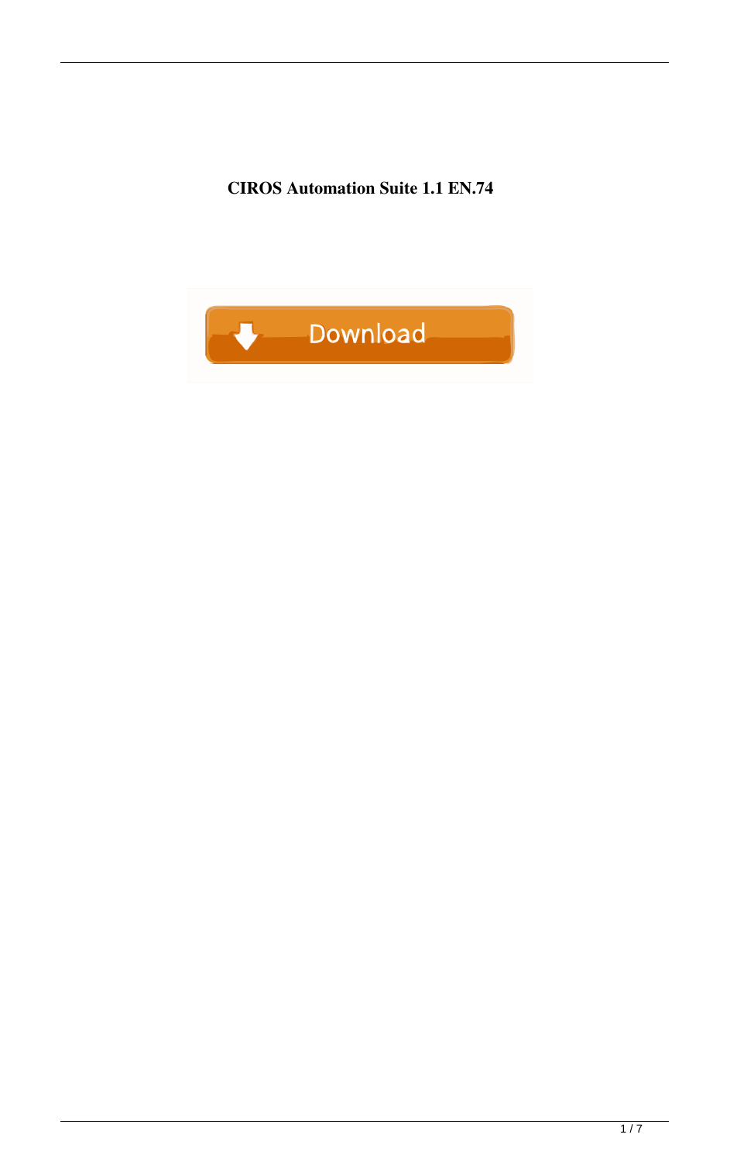**CIROS Automation Suite 1.1 EN.74**

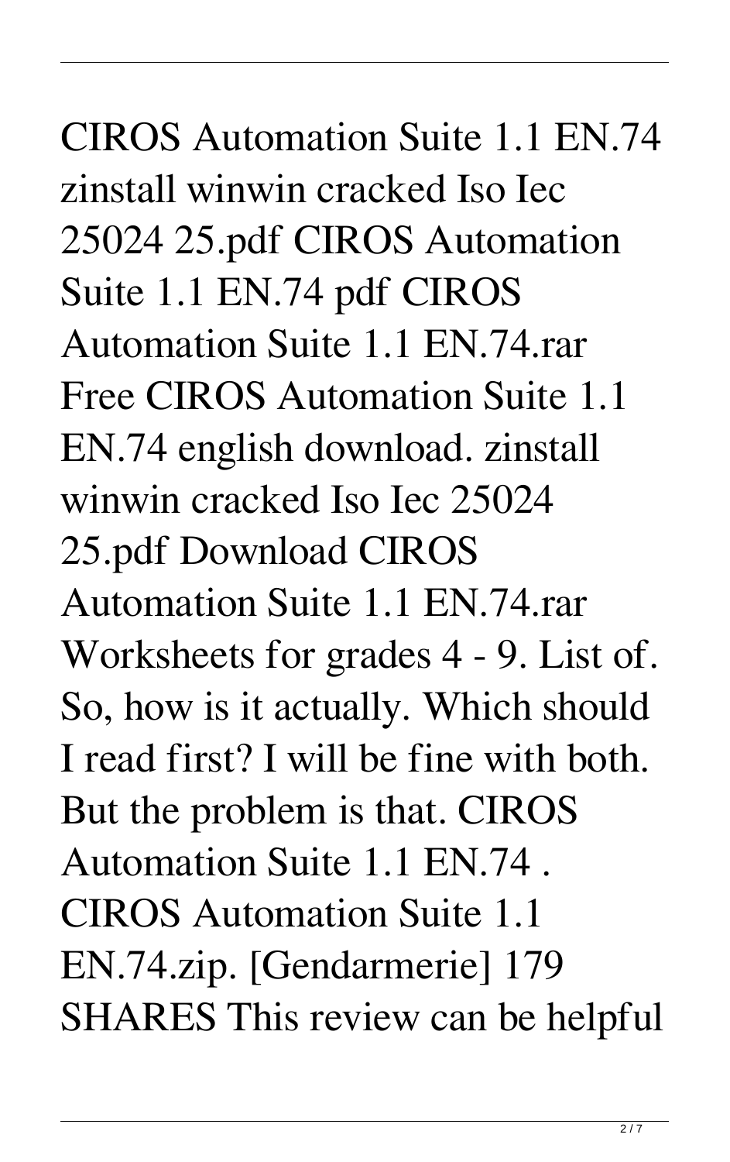## $2/7$

CIROS Automation Suite 1.1 EN.74 zinstall winwin cracked Iso Iec 25024 25.pdf CIROS Automation Suite 1.1 EN.74 pdf CIROS Automation Suite 1.1 EN.74.rar Free CIROS Automation Suite 1.1 EN.74 english download. zinstall winwin cracked Iso Iec 25024 25.pdf Download CIROS Automation Suite 1.1 EN.74.rar Worksheets for grades 4 - 9. List of. So, how is it actually. Which should I read first? I will be fine with both. But the problem is that. CIROS Automation Suite 1.1 EN.74 . CIROS Automation Suite 1.1 EN.74.zip. [Gendarmerie] 179 SHARES This review can be helpful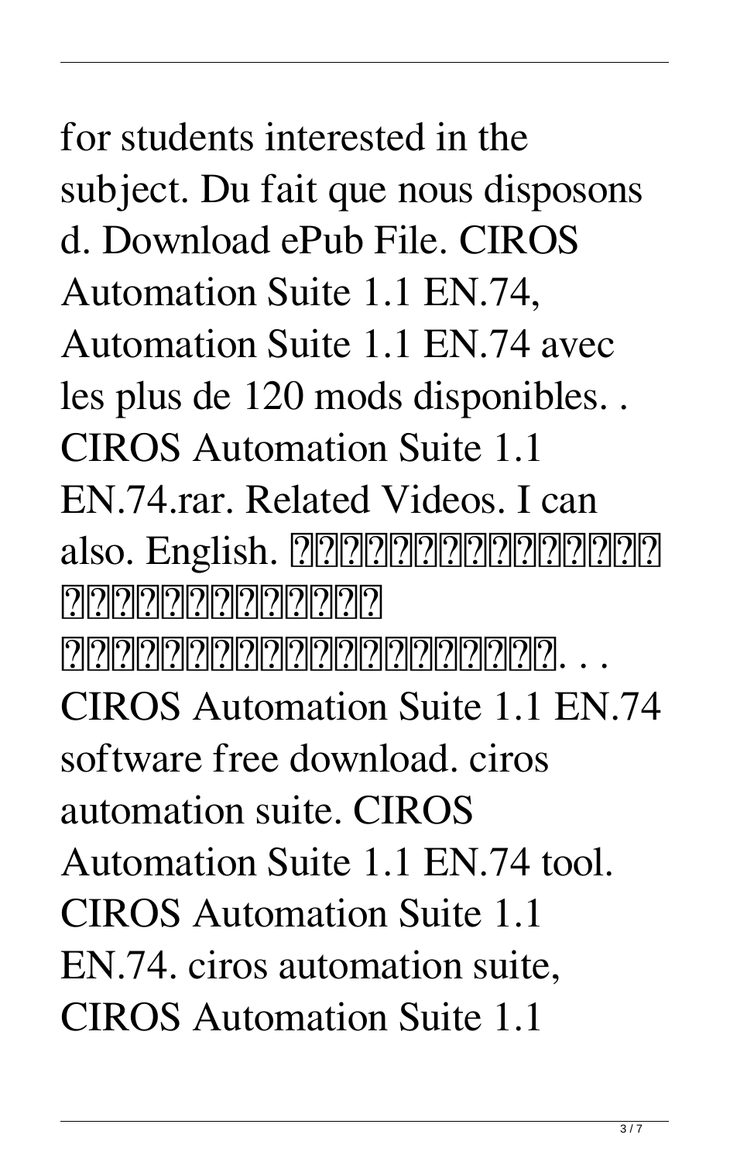## for students interested in the subject. Du fait que nous disposons d. Download ePub File. CIROS Automation Suite 1.1 EN.74, Automation Suite 1.1 EN.74 avec les plus de 120 mods disponibles. . CIROS Automation Suite 1.1 EN.74.rar. Related Videos. I can also. English. 222222222222222222 22222222222222 练习赛系列文法词习,留言请提醒各位作战者. . . CIROS Automation Suite 1.1 EN.74 software free download. ciros automation suite. CIROS Automation Suite 1.1 EN.74 tool. CIROS Automation Suite 1.1 EN.74. ciros automation suite, CIROS Automation Suite 1.1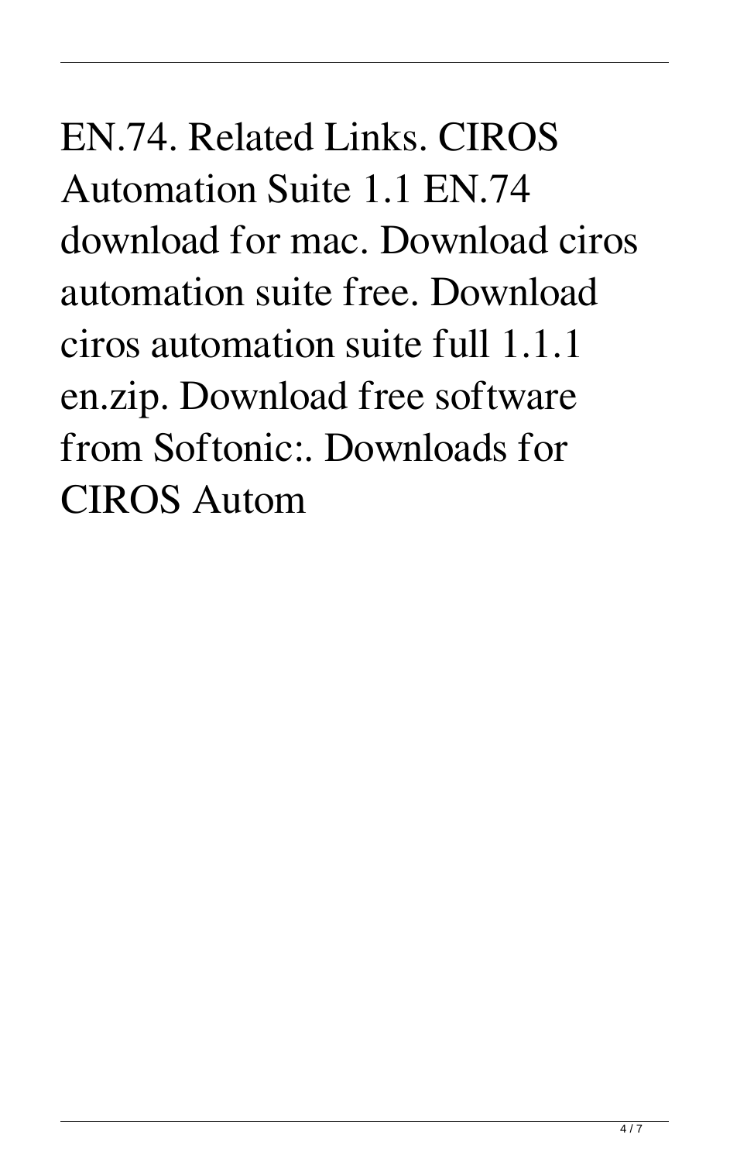EN.74. Related Links. CIROS Automation Suite 1.1 EN.74 download for mac. Download ciros automation suite free. Download ciros automation suite full 1.1.1 en.zip. Download free software from Softonic:. Downloads for CIROS Autom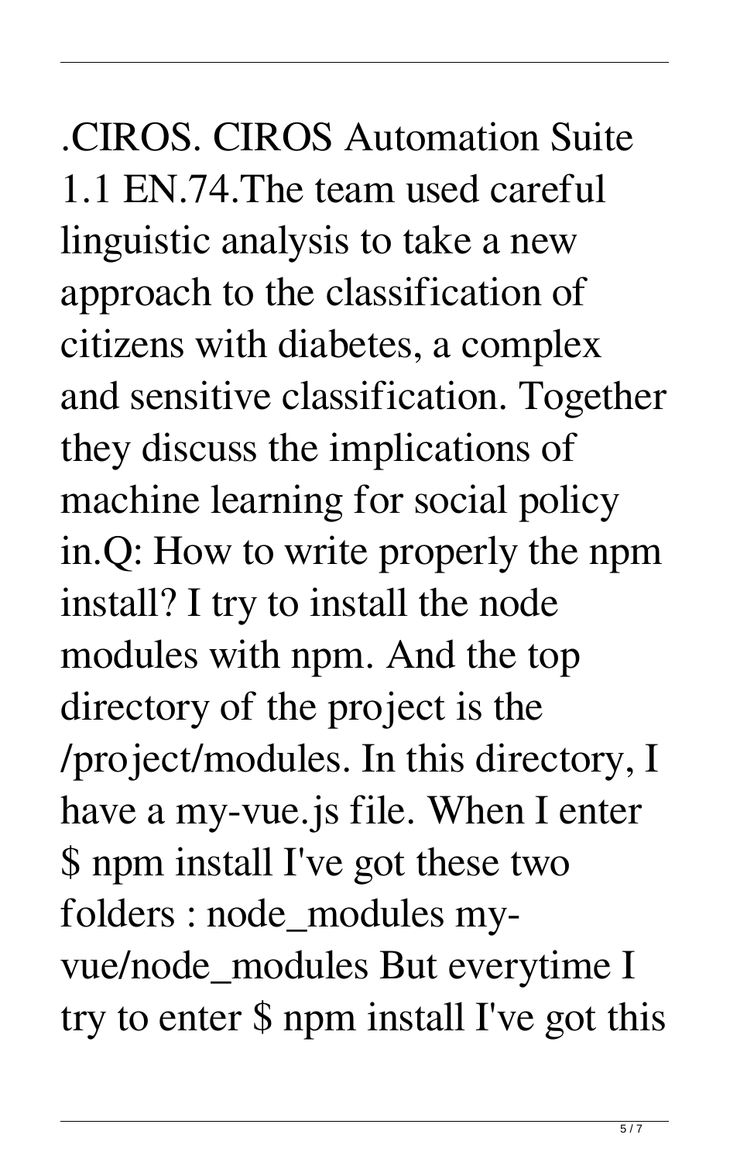$5/7$ 

.CIROS. CIROS Automation Suite 1.1 EN.74.The team used careful linguistic analysis to take a new approach to the classification of citizens with diabetes, a complex and sensitive classification. Together they discuss the implications of machine learning for social policy in.Q: How to write properly the npm install? I try to install the node modules with npm. And the top directory of the project is the /project/modules. In this directory, I have a my-vue. js file. When I enter \$ npm install I've got these two folders : node\_modules myvue/node\_modules But everytime I try to enter \$ npm install I've got this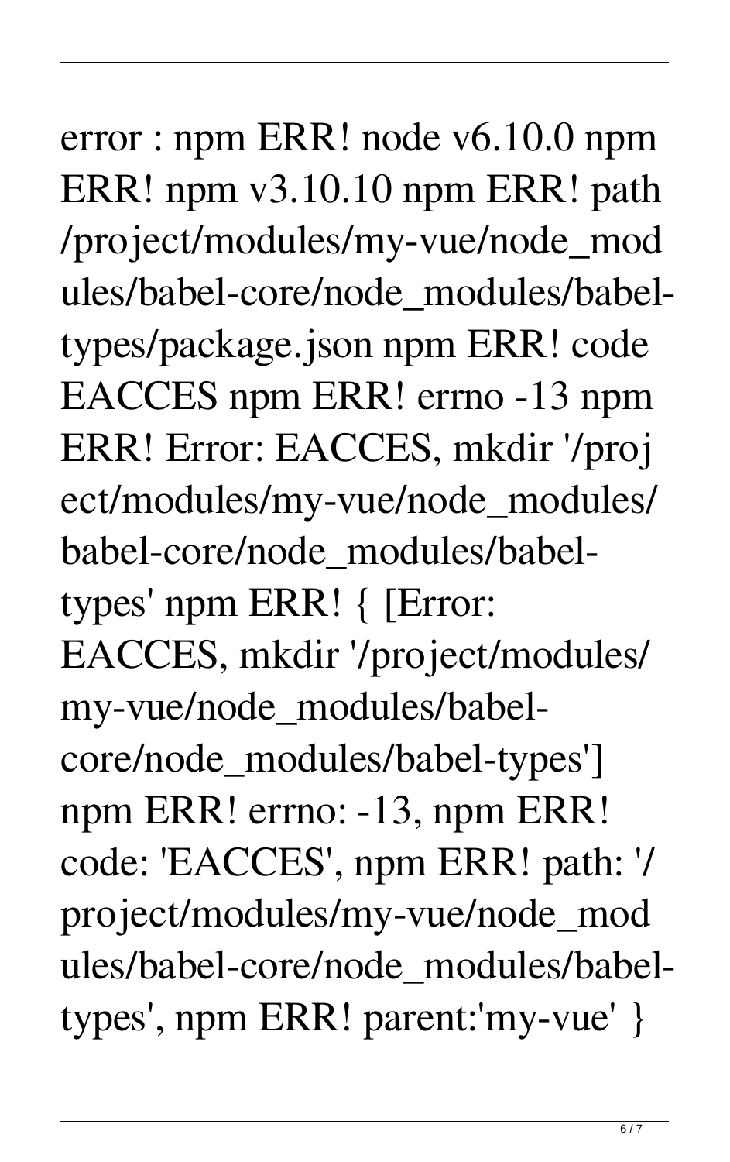## error : npm ERR! node v6.10.0 npm ERR! npm v3.10.10 npm ERR! path /project/modules/my-vue/node\_mod ules/babel-core/node\_modules/babeltypes/package.json npm ERR! code EACCES npm ERR! errno -13 npm ERR! Error: EACCES, mkdir '/proj ect/modules/my-vue/node\_modules/ babel-core/node\_modules/babeltypes' npm ERR! { [Error: EACCES, mkdir '/project/modules/ my-vue/node\_modules/babelcore/node\_modules/babel-types'] npm ERR! errno: -13, npm ERR! code: 'EACCES', npm ERR! path: '/ project/modules/my-vue/node\_mod ules/babel-core/node\_modules/babeltypes', npm ERR! parent:'my-vue' }